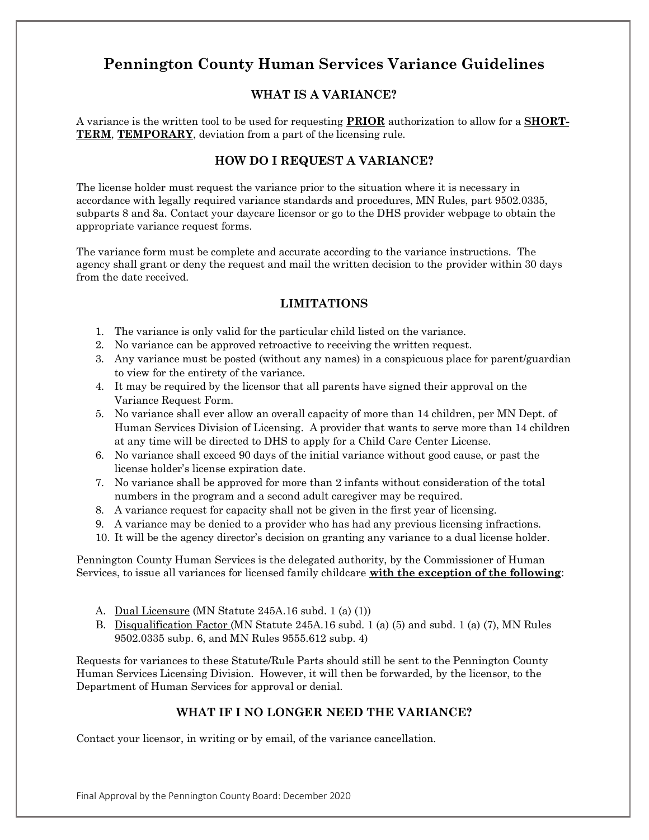# **Pennington County Human Services Variance Guidelines**

# **WHAT IS A VARIANCE?**

A variance is the written tool to be used for requesting **PRIOR** authorization to allow for a **SHORT-TERM**, **TEMPORARY**, deviation from a part of the licensing rule.

## **HOW DO I REQUEST A VARIANCE?**

The license holder must request the variance prior to the situation where it is necessary in accordance with legally required variance standards and procedures, MN Rules, part 9502.0335, subparts 8 and 8a. Contact your daycare licensor or go to the DHS provider webpage to obtain the appropriate variance request forms.

The variance form must be complete and accurate according to the variance instructions. The agency shall grant or deny the request and mail the written decision to the provider within 30 days from the date received.

### **LIMITATIONS**

- 1. The variance is only valid for the particular child listed on the variance.
- 2. No variance can be approved retroactive to receiving the written request.
- 3. Any variance must be posted (without any names) in a conspicuous place for parent/guardian to view for the entirety of the variance.
- 4. It may be required by the licensor that all parents have signed their approval on the Variance Request Form.
- 5. No variance shall ever allow an overall capacity of more than 14 children, per MN Dept. of Human Services Division of Licensing. A provider that wants to serve more than 14 children at any time will be directed to DHS to apply for a Child Care Center License.
- 6. No variance shall exceed 90 days of the initial variance without good cause, or past the license holder's license expiration date.
- 7. No variance shall be approved for more than 2 infants without consideration of the total numbers in the program and a second adult caregiver may be required.
- 8. A variance request for capacity shall not be given in the first year of licensing.
- 9. A variance may be denied to a provider who has had any previous licensing infractions.
- 10. It will be the agency director's decision on granting any variance to a dual license holder.

Pennington County Human Services is the delegated authority, by the Commissioner of Human Services, to issue all variances for licensed family childcare **with the exception of the following**:

- A. Dual Licensure (MN Statute 245A.16 subd. 1 (a) (1))
- B. Disqualification Factor (MN Statute 245A.16 subd. 1 (a) (5) and subd. 1 (a) (7), MN Rules 9502.0335 subp. 6, and MN Rules 9555.612 subp. 4)

Requests for variances to these Statute/Rule Parts should still be sent to the Pennington County Human Services Licensing Division. However, it will then be forwarded, by the licensor, to the Department of Human Services for approval or denial.

# **WHAT IF I NO LONGER NEED THE VARIANCE?**

Contact your licensor, in writing or by email, of the variance cancellation.

Final Approval by the Pennington County Board: December 2020